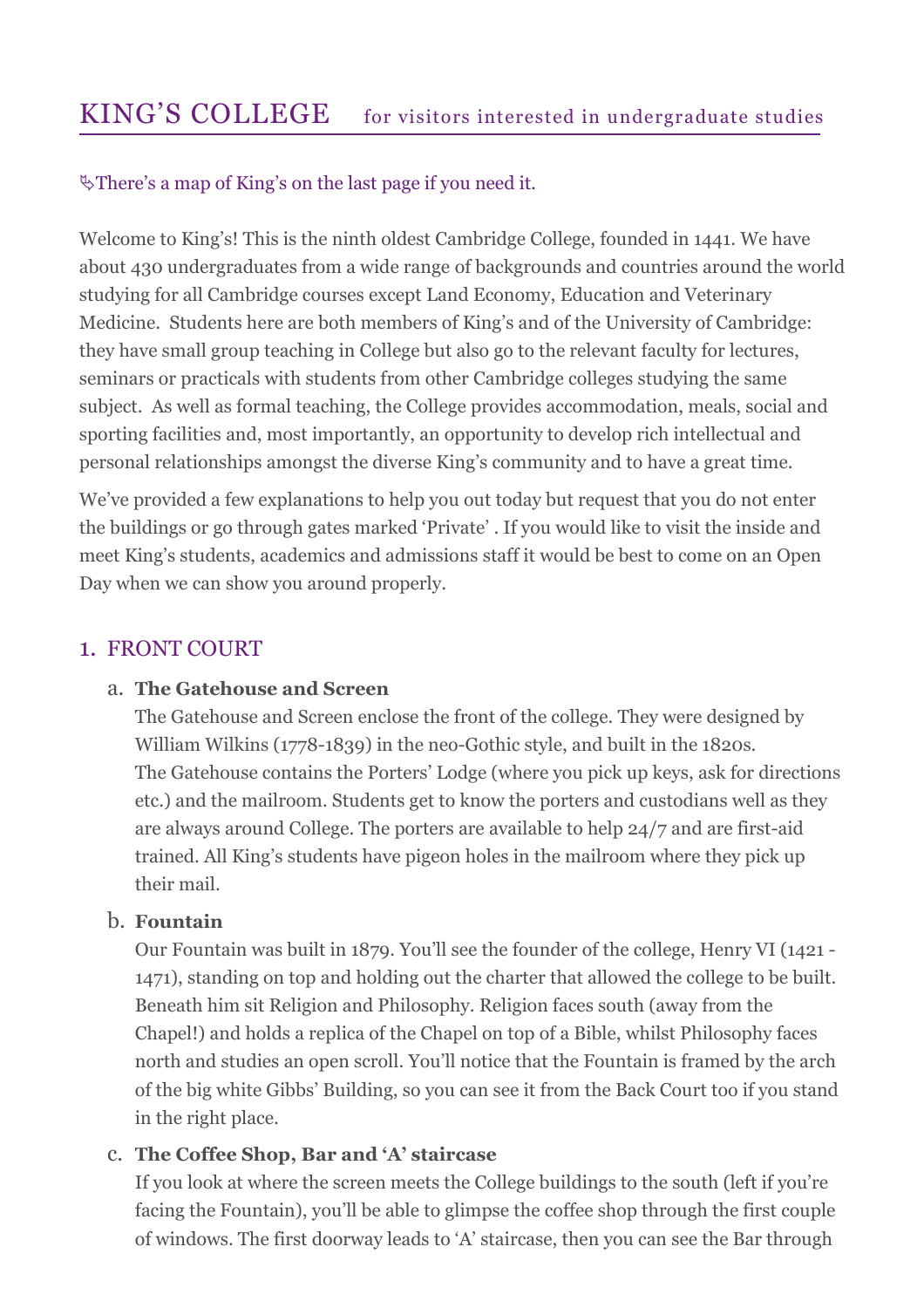# There's a map of King's on the last page if you need it.

Welcome to King's! This is the ninth oldest Cambridge College, founded in 1441. We have about 430 undergraduates from a wide range of backgrounds and countries around the world studying for all Cambridge courses except Land Economy, Education and Veterinary Medicine. Students here are both members of King's and of the University of Cambridge: they have small group teaching in College but also go to the relevant faculty for lectures, seminars or practicals with students from other Cambridge colleges studying the same subject. As well as formal teaching, the College provides accommodation, meals, social and sporting facilities and, most importantly, an opportunity to develop rich intellectual and personal relationships amongst the diverse King's community and to have a great time.

We've provided a few explanations to help you out today but request that you do not enter the buildings or go through gates marked 'Private' . If you would like to visit the inside and meet King's students, academics and admissions staff it would be best to come on an Open Day when we can show you around properly.

# 1. FRONT COURT

## a. The Gatehouse and Screen

The Gatehouse and Screen enclose the front of the college. They were designed by William Wilkins (1778-1839) in the neo-Gothic style, and built in the 1820s. The Gatehouse contains the Porters' Lodge (where you pick up keys, ask for directions etc.) and the mailroom. Students get to know the porters and custodians well as they are always around College. The porters are available to help 24/7 and are first-aid trained. All King's students have pigeon holes in the mailroom where they pick up their mail.

## b. Fountain

Our Fountain was built in 1879. You'll see the founder of the college, Henry VI (1421 - 1471), standing on top and holding out the charter that allowed the college to be built. Beneath him sit Religion and Philosophy. Religion faces south (away from the Chapel!) and holds a replica of the Chapel on top of a Bible, whilst Philosophy faces north and studies an open scroll. You'll notice that the Fountain is framed by the arch of the big white Gibbs' Building, so you can see it from the Back Court too if you stand in the right place.

# c. The Coffee Shop, Bar and 'A' staircase

If you look at where the screen meets the College buildings to the south (left if you're facing the Fountain), you'll be able to glimpse the coffee shop through the first couple of windows. The first doorway leads to 'A' staircase, then you can see the Bar through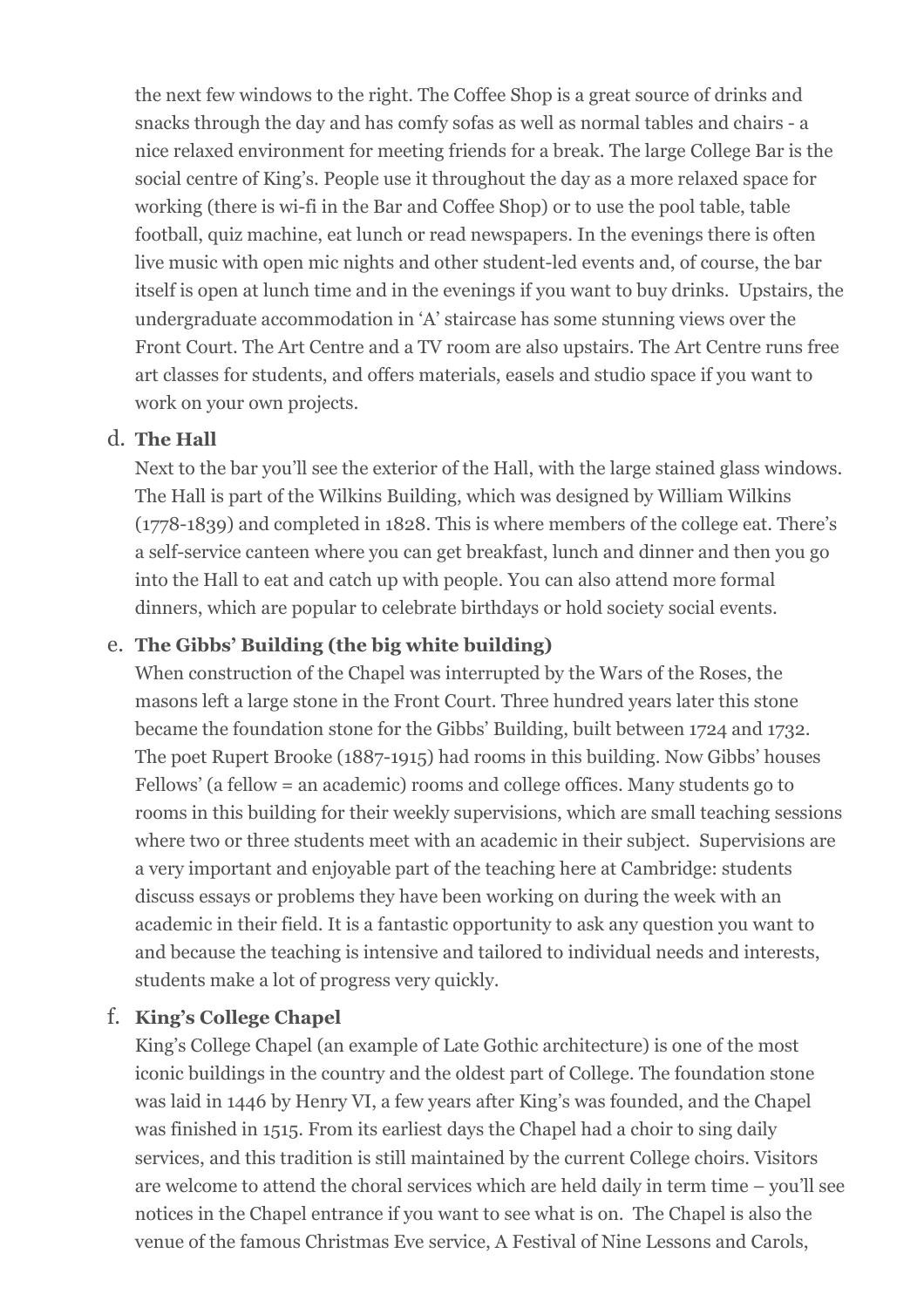the next few windows to the right. The Coffee Shop is a great source of drinks and snacks through the day and has comfy sofas as well as normal tables and chairs - a nice relaxed environment for meeting friends for a break. The large College Bar is the social centre of King's. People use it throughout the day as a more relaxed space for working (there is wi-fi in the Bar and Coffee Shop) or to use the pool table, table football, quiz machine, eat lunch or read newspapers. In the evenings there is often live music with open mic nights and other student-led events and, of course, the bar itself is open at lunch time and in the evenings if you want to buy drinks. Upstairs, the undergraduate accommodation in 'A' staircase has some stunning views over the Front Court. The Art Centre and a TV room are also upstairs. The Art Centre runs free art classes for students, and offers materials, easels and studio space if you want to work on your own projects.

## d. The Hall

Next to the bar you'll see the exterior of the Hall, with the large stained glass windows. The Hall is part of the Wilkins Building, which was designed by William Wilkins (1778-1839) and completed in 1828. This is where members of the college eat. There's a self-service canteen where you can get breakfast, lunch and dinner and then you go into the Hall to eat and catch up with people. You can also attend more formal dinners, which are popular to celebrate birthdays or hold society social events.

## e. The Gibbs' Building (the big white building)

When construction of the Chapel was interrupted by the Wars of the Roses, the masons left a large stone in the Front Court. Three hundred years later this stone became the foundation stone for the Gibbs' Building, built between 1724 and 1732. The poet Rupert Brooke (1887-1915) had rooms in this building. Now Gibbs' houses Fellows' (a fellow = an academic) rooms and college offices. Many students go to rooms in this building for their weekly supervisions, which are small teaching sessions where two or three students meet with an academic in their subject. Supervisions are a very important and enjoyable part of the teaching here at Cambridge: students discuss essays or problems they have been working on during the week with an academic in their field. It is a fantastic opportunity to ask any question you want to and because the teaching is intensive and tailored to individual needs and interests, students make a lot of progress very quickly.

## f. King's College Chapel

King's College Chapel (an example of Late Gothic architecture) is one of the most iconic buildings in the country and the oldest part of College. The foundation stone was laid in 1446 by Henry VI, a few years after King's was founded, and the Chapel was finished in 1515. From its earliest days the Chapel had a choir to sing daily services, and this tradition is still maintained by the current College choirs. Visitors are welcome to attend the choral services which are held daily in term time – you'll see notices in the Chapel entrance if you want to see what is on. The Chapel is also the venue of the famous Christmas Eve service, A Festival of Nine Lessons and Carols,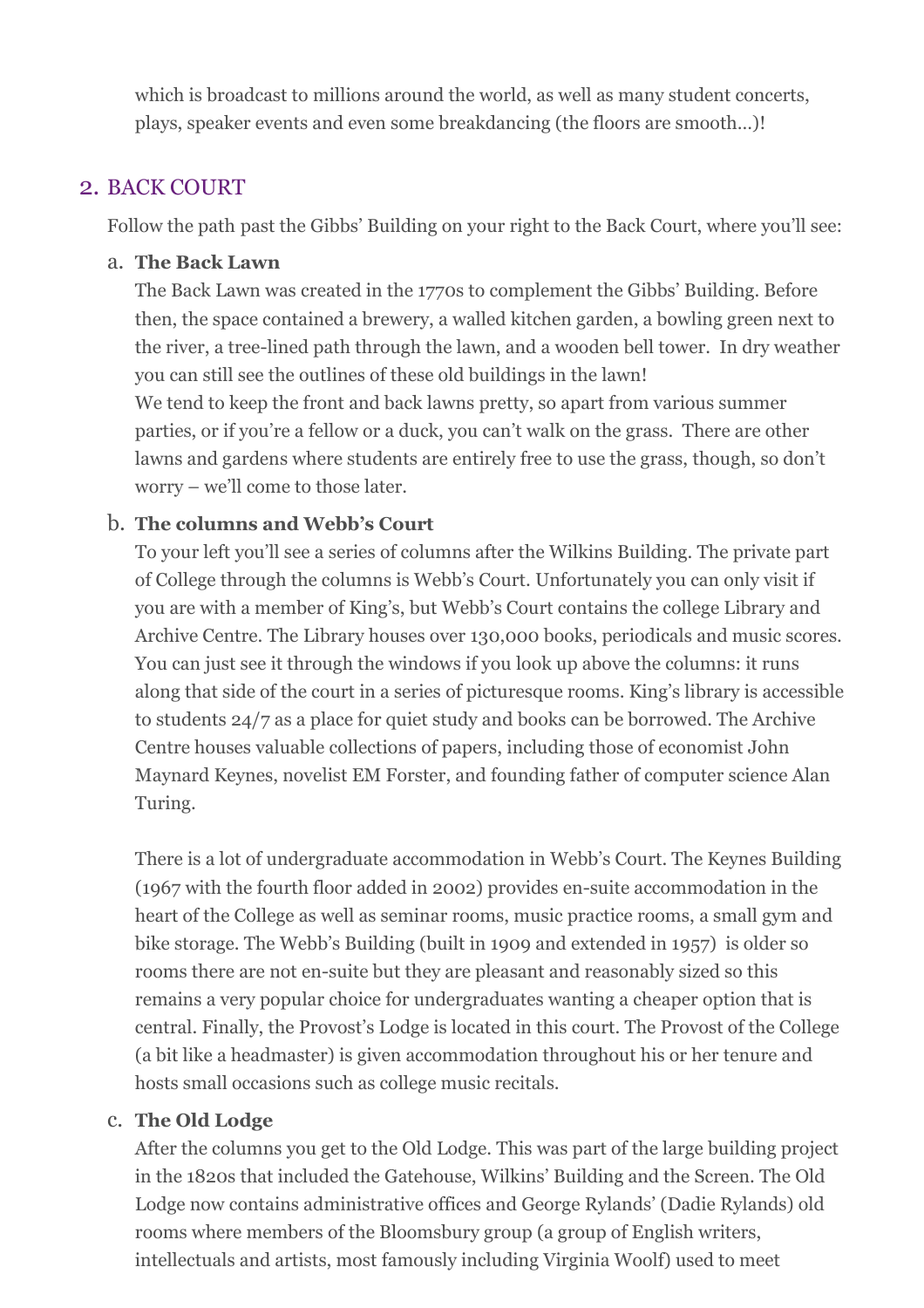which is broadcast to millions around the world, as well as many student concerts, plays, speaker events and even some breakdancing (the floors are smooth…)!

# 2. BACK COURT

Follow the path past the Gibbs' Building on your right to the Back Court, where you'll see:

#### a. The Back Lawn

The Back Lawn was created in the 1770s to complement the Gibbs' Building. Before then, the space contained a brewery, a walled kitchen garden, a bowling green next to the river, a tree-lined path through the lawn, and a wooden bell tower. In dry weather you can still see the outlines of these old buildings in the lawn! We tend to keep the front and back lawns pretty, so apart from various summer parties, or if you're a fellow or a duck, you can't walk on the grass. There are other lawns and gardens where students are entirely free to use the grass, though, so don't worry – we'll come to those later.

## b. The columns and Webb's Court

To your left you'll see a series of columns after the Wilkins Building. The private part of College through the columns is Webb's Court. Unfortunately you can only visit if you are with a member of King's, but Webb's Court contains the college Library and Archive Centre. The Library houses over 130,000 books, periodicals and music scores. You can just see it through the windows if you look up above the columns: it runs along that side of the court in a series of picturesque rooms. King's library is accessible to students 24/7 as a place for quiet study and books can be borrowed. The Archive Centre houses valuable collections of papers, including those of economist John Maynard Keynes, novelist EM Forster, and founding father of computer science Alan Turing.

There is a lot of undergraduate accommodation in Webb's Court. The Keynes Building (1967 with the fourth floor added in 2002) provides en-suite accommodation in the heart of the College as well as seminar rooms, music practice rooms, a small gym and bike storage. The Webb's Building (built in 1909 and extended in 1957) is older so rooms there are not en-suite but they are pleasant and reasonably sized so this remains a very popular choice for undergraduates wanting a cheaper option that is central. Finally, the Provost's Lodge is located in this court. The Provost of the College (a bit like a headmaster) is given accommodation throughout his or her tenure and hosts small occasions such as college music recitals.

## c. The Old Lodge

After the columns you get to the Old Lodge. This was part of the large building project in the 1820s that included the Gatehouse, Wilkins' Building and the Screen. The Old Lodge now contains administrative offices and George Rylands' (Dadie Rylands) old rooms where members of the Bloomsbury group (a group of English writers, intellectuals and artists, most famously including Virginia Woolf) used to meet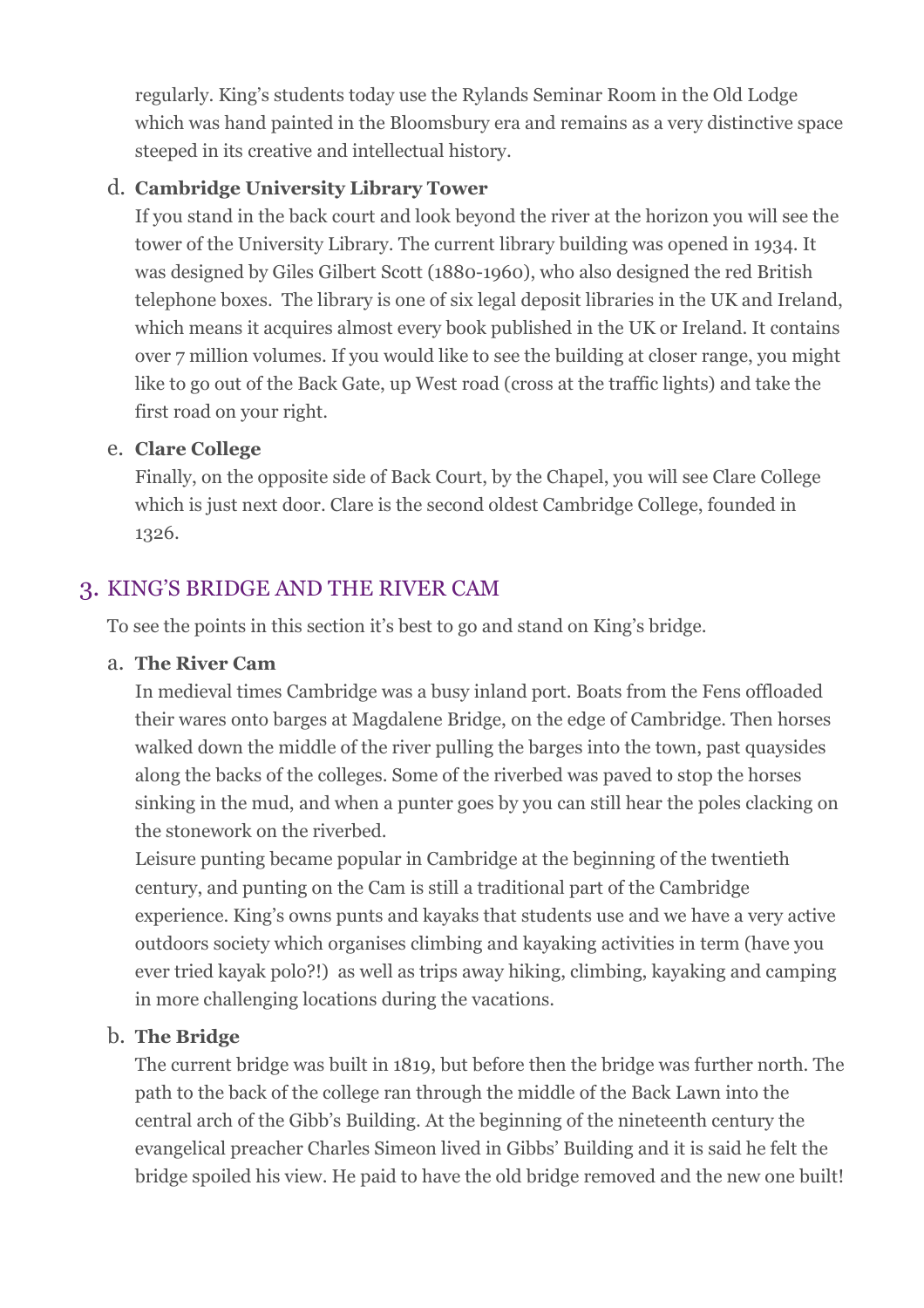regularly. King's students today use the Rylands Seminar Room in the Old Lodge which was hand painted in the Bloomsbury era and remains as a very distinctive space steeped in its creative and intellectual history.

# d. Cambridge University Library Tower

If you stand in the back court and look beyond the river at the horizon you will see the tower of the University Library. The current library building was opened in 1934. It was designed by Giles Gilbert Scott (1880-1960), who also designed the red British telephone boxes. The library is one of six legal deposit libraries in the UK and Ireland, which means it acquires almost every book published in the UK or Ireland. It contains over 7 million volumes. If you would like to see the building at closer range, you might like to go out of the Back Gate, up West road (cross at the traffic lights) and take the first road on your right.

## e. Clare College

Finally, on the opposite side of Back Court, by the Chapel, you will see Clare College which is just next door. Clare is the second oldest Cambridge College, founded in 1326.

# 3. KING'S BRIDGE AND THE RIVER CAM

To see the points in this section it's best to go and stand on King's bridge.

## a. The River Cam

In medieval times Cambridge was a busy inland port. Boats from the Fens offloaded their wares onto barges at Magdalene Bridge, on the edge of Cambridge. Then horses walked down the middle of the river pulling the barges into the town, past quaysides along the backs of the colleges. Some of the riverbed was paved to stop the horses sinking in the mud, and when a punter goes by you can still hear the poles clacking on the stonework on the riverbed.

Leisure punting became popular in Cambridge at the beginning of the twentieth century, and punting on the Cam is still a traditional part of the Cambridge experience. King's owns punts and kayaks that students use and we have a very active outdoors society which organises climbing and kayaking activities in term (have you ever tried kayak polo?!) as well as trips away hiking, climbing, kayaking and camping in more challenging locations during the vacations.

# b. The Bridge

The current bridge was built in 1819, but before then the bridge was further north. The path to the back of the college ran through the middle of the Back Lawn into the central arch of the Gibb's Building. At the beginning of the nineteenth century the evangelical preacher Charles Simeon lived in Gibbs' Building and it is said he felt the bridge spoiled his view. He paid to have the old bridge removed and the new one built!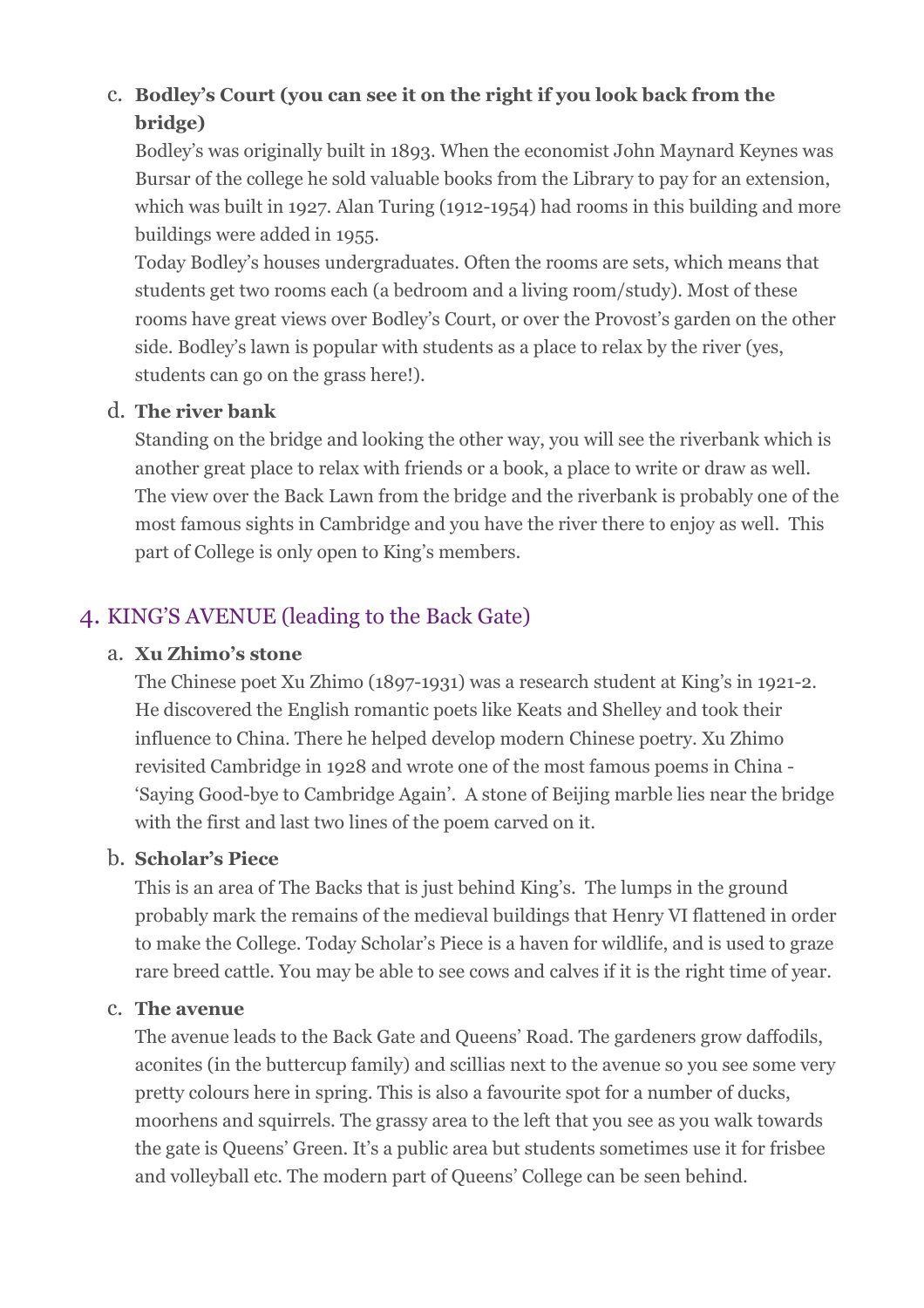# c. Bodley's Court (you can see it on the right if you look back from the bridge)

Bodley's was originally built in 1893. When the economist John Maynard Keynes was Bursar of the college he sold valuable books from the Library to pay for an extension, which was built in 1927. Alan Turing (1912-1954) had rooms in this building and more buildings were added in 1955.

Today Bodley's houses undergraduates. Often the rooms are sets, which means that students get two rooms each (a bedroom and a living room/study). Most of these rooms have great views over Bodley's Court, or over the Provost's garden on the other side. Bodley's lawn is popular with students as a place to relax by the river (yes, students can go on the grass here!).

#### d. The river bank

Standing on the bridge and looking the other way, you will see the riverbank which is another great place to relax with friends or a book, a place to write or draw as well. The view over the Back Lawn from the bridge and the riverbank is probably one of the most famous sights in Cambridge and you have the river there to enjoy as well. This part of College is only open to King's members.

# 4. KING'S AVENUE (leading to the Back Gate)

#### a. Xu Zhimo's stone

The Chinese poet Xu Zhimo (1897-1931) was a research student at King's in 1921-2. He discovered the English romantic poets like Keats and Shelley and took their influence to China. There he helped develop modern Chinese poetry. Xu Zhimo revisited Cambridge in 1928 and wrote one of the most famous poems in China - 'Saying Good-bye to Cambridge Again'. A stone of Beijing marble lies near the bridge with the first and last two lines of the poem carved on it.

#### b. Scholar's Piece

This is an area of The Backs that is just behind King's. The lumps in the ground probably mark the remains of the medieval buildings that Henry VI flattened in order to make the College. Today Scholar's Piece is a haven for wildlife, and is used to graze rare breed cattle. You may be able to see cows and calves if it is the right time of year.

#### c. The avenue

The avenue leads to the Back Gate and Queens' Road. The gardeners grow daffodils, aconites (in the buttercup family) and scillias next to the avenue so you see some very pretty colours here in spring. This is also a favourite spot for a number of ducks, moorhens and squirrels. The grassy area to the left that you see as you walk towards the gate is Queens' Green. It's a public area but students sometimes use it for frisbee and volleyball etc. The modern part of Queens' College can be seen behind.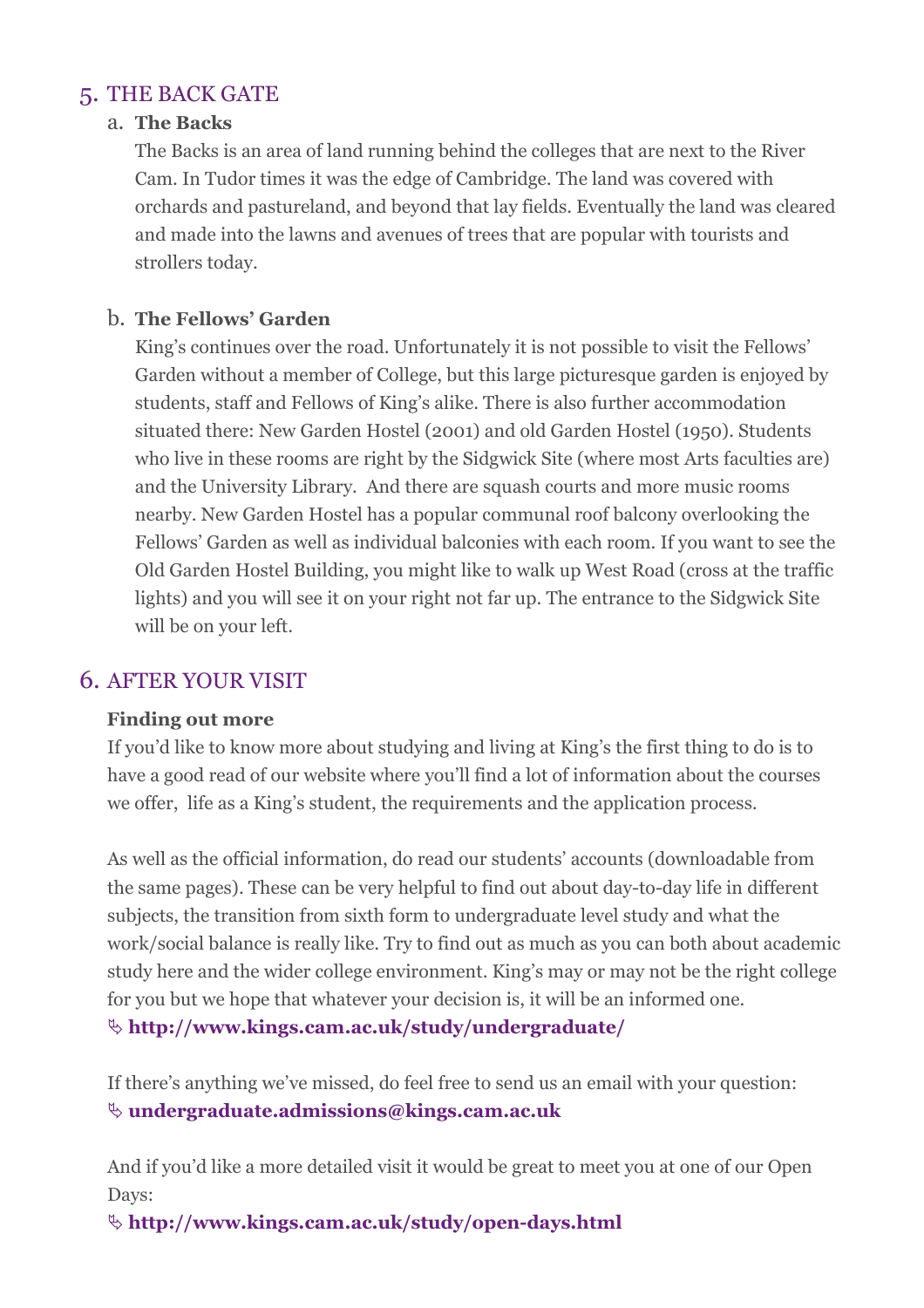# 5. THE BACK GATE

#### a. The Backs

The Backs is an area of land running behind the colleges that are next to the River Cam. In Tudor times it was the edge of Cambridge. The land was covered with orchards and pastureland, and beyond that lay fields. Eventually the land was cleared and made into the lawns and avenues of trees that are popular with tourists and strollers today.

#### b. The Fellows' Garden

King's continues over the road. Unfortunately it is not possible to visit the Fellows' Garden without a member of College, but this large picturesque garden is enjoyed by students, staff and Fellows of King's alike. There is also further accommodation situated there: New Garden Hostel (2001) and old Garden Hostel (1950). Students who live in these rooms are right by the Sidgwick Site (where most Arts faculties are) and the University Library. And there are squash courts and more music rooms nearby. New Garden Hostel has a popular communal roof balcony overlooking the Fellows' Garden as well as individual balconies with each room. If you want to see the Old Garden Hostel Building, you might like to walk up West Road (cross at the traffic lights) and you will see it on your right not far up. The entrance to the Sidgwick Site will be on your left.

#### 6. AFTER YOUR VISIT

#### Finding out more

If you'd like to know more about studying and living at King's the first thing to do is to have a good read of our website where you'll find a lot of information about the courses we offer, life as a King's student, the requirements and the application process.

As well as the official information, do read our students' accounts (downloadable from the same pages). These can be very helpful to find out about day-to-day life in different subjects, the transition from sixth form to undergraduate level study and what the work/social balance is really like. Try to find out as much as you can both about academic study here and the wider college environment. King's may or may not be the right college for you but we hope that whatever your decision is, it will be an informed one.

 $\&$  http://www.kings.cam.ac.uk/study/undergraduate/

If there's anything we've missed, do feel free to send us an email with your question:  $\&$  undergraduate.admissions@kings.cam.ac.uk

And if you'd like a more detailed visit it would be great to meet you at one of our Open Days:

http://www.kings.cam.ac.uk/study/open-days.html